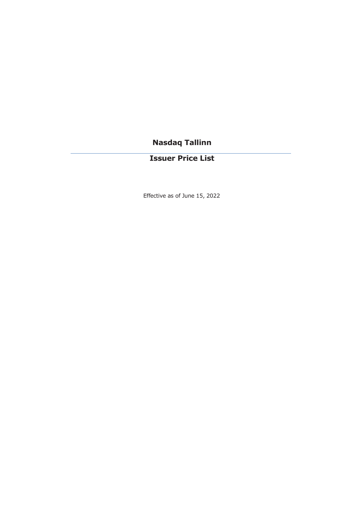# **Nasdaq Tallinn**

# **Issuer Price List**

Effective as of June 15, 2022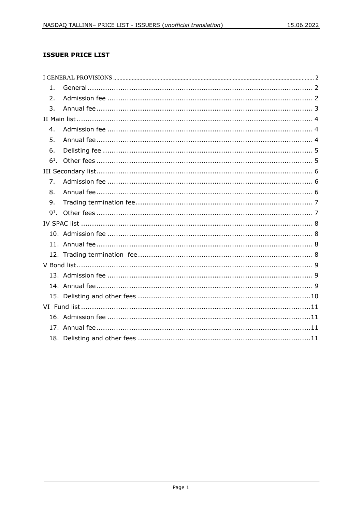# **ISSUER PRICE LIST**

| 1.             |  |
|----------------|--|
| 2.             |  |
| 3.             |  |
|                |  |
| $4_{-}$        |  |
| 5.             |  |
| 6.             |  |
| $6^{1}$ .      |  |
|                |  |
| 7 <sub>1</sub> |  |
| 8.             |  |
| 9.             |  |
|                |  |
|                |  |
|                |  |
|                |  |
|                |  |
|                |  |
|                |  |
|                |  |
|                |  |
|                |  |
|                |  |
|                |  |
|                |  |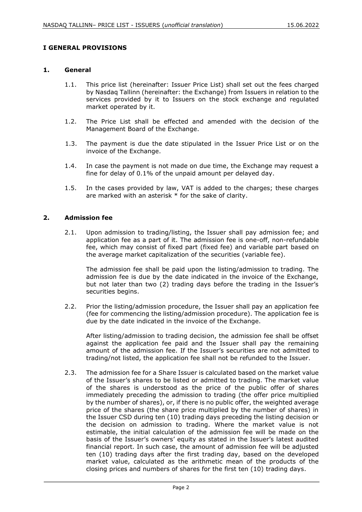# <span id="page-2-0"></span>**I GENERAL PROVISIONS**

#### <span id="page-2-1"></span>**1. General**

- 1.1. This price list (hereinafter: Issuer Price List) shall set out the fees charged by Nasdaq Tallinn (hereinafter: the Exchange) from Issuers in relation to the services provided by it to Issuers on the stock exchange and regulated market operated by it.
- 1.2. The Price List shall be effected and amended with the decision of the Management Board of the Exchange.
- 1.3. The payment is due the date stipulated in the Issuer Price List or on the invoice of the Exchange.
- 1.4. In case the payment is not made on due time, the Exchange may request a fine for delay of 0.1% of the unpaid amount per delayed day.
- 1.5. In the cases provided by law, VAT is added to the charges; these charges are marked with an asterisk \* for the sake of clarity.

#### <span id="page-2-2"></span>**2. Admission fee**

2.1. Upon admission to trading/listing, the Issuer shall pay admission fee; and application fee as a part of it. The admission fee is one-off, non-refundable fee, which may consist of fixed part (fixed fee) and variable part based on the average market capitalization of the securities (variable fee).

The admission fee shall be paid upon the listing/admission to trading. The admission fee is due by the date indicated in the invoice of the Exchange, but not later than two (2) trading days before the trading in the Issuer's securities begins.

2.2. Prior the listing/admission procedure, the Issuer shall pay an application fee (fee for commencing the listing/admission procedure). The application fee is due by the date indicated in the invoice of the Exchange.

After listing/admission to trading decision, the admission fee shall be offset against the application fee paid and the Issuer shall pay the remaining amount of the admission fee. If the Issuer's securities are not admitted to trading/not listed, the application fee shall not be refunded to the Issuer.

2.3. The admission fee for a Share Issuer is calculated based on the market value of the Issuer's shares to be listed or admitted to trading. The market value of the shares is understood as the price of the public offer of shares immediately preceding the admission to trading (the offer price multiplied by the number of shares), or, if there is no public offer, the weighted average price of the shares (the share price multiplied by the number of shares) in the Issuer CSD during ten (10) trading days preceding the listing decision or the decision on admission to trading. Where the market value is not estimable, the initial calculation of the admission fee will be made on the basis of the Issuer's owners' equity as stated in the Issuer's latest audited financial report. In such case, the amount of admission fee will be adjusted ten (10) trading days after the first trading day, based on the developed market value, calculated as the arithmetic mean of the products of the closing prices and numbers of shares for the first ten (10) trading days.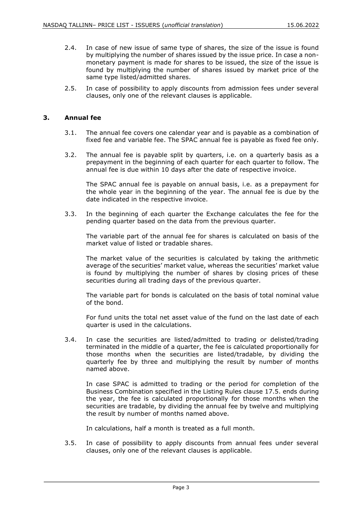- 2.4. In case of new issue of same type of shares, the size of the issue is found by multiplying the number of shares issued by the issue price. In case a nonmonetary payment is made for shares to be issued, the size of the issue is found by multiplying the number of shares issued by market price of the same type listed/admitted shares.
- 2.5. In case of possibility to apply discounts from admission fees under several clauses, only one of the relevant clauses is applicable.

# <span id="page-3-0"></span>**3. Annual fee**

- 3.1. The annual fee covers one calendar year and is payable as a combination of fixed fee and variable fee. The SPAC annual fee is payable as fixed fee only.
- 3.2. The annual fee is payable split by quarters, i.e. on a quarterly basis as a prepayment in the beginning of each quarter for each quarter to follow. The annual fee is due within 10 days after the date of respective invoice.

The SPAC annual fee is payable on annual basis, i.e. as a prepayment for the whole year in the beginning of the year. The annual fee is due by the date indicated in the respective invoice.

3.3. In the beginning of each quarter the Exchange calculates the fee for the pending quarter based on the data from the previous quarter.

The variable part of the annual fee for shares is calculated on basis of the market value of listed or tradable shares.

The market value of the securities is calculated by taking the arithmetic average of the securities' market value, whereas the securities' market value is found by multiplying the number of shares by closing prices of these securities during all trading days of the previous quarter.

The variable part for bonds is calculated on the basis of total nominal value of the bond.

For fund units the total net asset value of the fund on the last date of each quarter is used in the calculations.

3.4. In case the securities are listed/admitted to trading or delisted/trading terminated in the middle of a quarter, the fee is calculated proportionally for those months when the securities are listed/tradable, by dividing the quarterly fee by three and multiplying the result by number of months named above.

In case SPAC is admitted to trading or the period for completion of the Business Combination specified in the Listing Rules clause 17.5. ends during the year, the fee is calculated proportionally for those months when the securities are tradable, by dividing the annual fee by twelve and multiplying the result by number of months named above.

In calculations, half a month is treated as a full month.

3.5. In case of possibility to apply discounts from annual fees under several clauses, only one of the relevant clauses is applicable.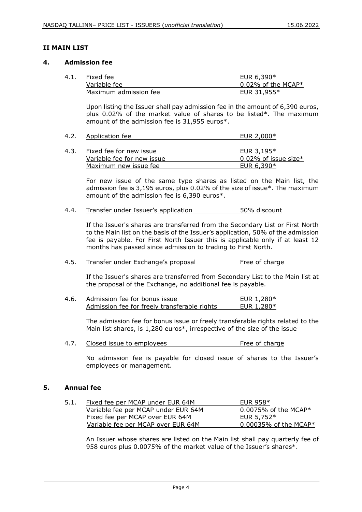# <span id="page-4-0"></span>**II MAIN LIST**

#### <span id="page-4-1"></span>**4. Admission fee**

| 4.1. | Fixed fee             | EUR $6.390*$          |
|------|-----------------------|-----------------------|
|      | Variable fee          | $0.02\%$ of the MCAP* |
|      | Maximum admission fee | EUR $31.955*$         |

Upon listing the Issuer shall pay admission fee in the amount of 6,390 euros, plus 0.02% of the market value of shares to be listed\*. The maximum amount of the admission fee is 31,955 euros\*.

| 4.2. | Application fee | EUR 2,000* |
|------|-----------------|------------|
|      |                 |            |

| 4.3. | Fixed fee for new issue    | EUR 3,195*           |
|------|----------------------------|----------------------|
|      | Variable fee for new issue | 0.02% of issue size* |
|      | Maximum new issue fee      | EUR $6,390*$         |

For new issue of the same type shares as listed on the Main list, the admission fee is 3,195 euros, plus 0.02% of the size of issue\*. The maximum amount of the admission fee is 6,390 euros\*.

4.4. Transfer under Issuer's application 50% discount

If the Issuer's shares are transferred from the Secondary List or First North to the Main list on the basis of the Issuer's application, 50% of the admission fee is payable. For First North Issuer this is applicable only if at least 12 months has passed since admission to trading to First North.

# 4.5. Transfer under Exchange's proposal Free of charge

If the Issuer's shares are transferred from Secondary List to the Main list at the proposal of the Exchange, no additional fee is payable.

4.6. Admission fee for bonus issue EUR 1,280\* Admission fee for freely transferable rights EUR 1,280\*

The admission fee for bonus issue or freely transferable rights related to the Main list shares, is 1,280 euros\*, irrespective of the size of the issue

4.7. Closed issue to employees entitled the series of charge

No admission fee is payable for closed issue of shares to the Issuer's employees or management.

# <span id="page-4-2"></span>**5. Annual fee**

| 5.1. | Fixed fee per MCAP under EUR 64M    | EUR 958 $*$                 |
|------|-------------------------------------|-----------------------------|
|      | Variable fee per MCAP under EUR 64M | $0.0075\%$ of the MCAP $^*$ |
|      | Fixed fee per MCAP over EUR 64M     | EUR $5.752*$                |
|      | Variable fee per MCAP over EUR 64M  | $0.00035\%$ of the MCAP*    |

An Issuer whose shares are listed on the Main list shall pay quarterly fee of 958 euros plus 0.0075% of the market value of the Issuer's shares\*.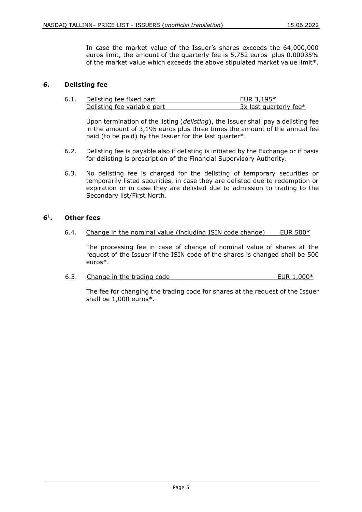In case the market value of the Issuer's shares exceeds the 64,000,000 euros limit, the amount of the quarterly fee is 5,752 euros plus 0.00035% of the market value which exceeds the above stipulated market value limit\*.

# <span id="page-5-0"></span>**6. Delisting fee**

| 6.1 | Delisting fee fixed part    | EUR $3.195*$           |
|-----|-----------------------------|------------------------|
|     | Delisting fee variable part | 3x last quarterly fee* |

Upon termination of the listing (*delisting*), the Issuer shall pay a delisting fee in the amount of 3,195 euros plus three times the amount of the annual fee paid (to be paid) by the Issuer for the last quarter\*.

- 6.2. Delisting fee is payable also if delisting is initiated by the Exchange or if basis for delisting is prescription of the Financial Supervisory Authority.
- 6.3. No delisting fee is charged for the delisting of temporary securities or temporarily listed securities, in case they are delisted due to redemption or expiration or in case they are delisted due to admission to trading to the Secondary list/First North.

#### <span id="page-5-1"></span>**6<sup>1</sup> . Other fees**

6.4. Change in the nominal value (including ISIN code change) EUR  $500*$ 

The processing fee in case of change of nominal value of shares at the request of the Issuer if the ISIN code of the shares is changed shall be 500 euros\*.

6.5. Change in the trading code EUR 1,000\*

The fee for changing the trading code for shares at the request of the Issuer shall be 1,000 euros\*.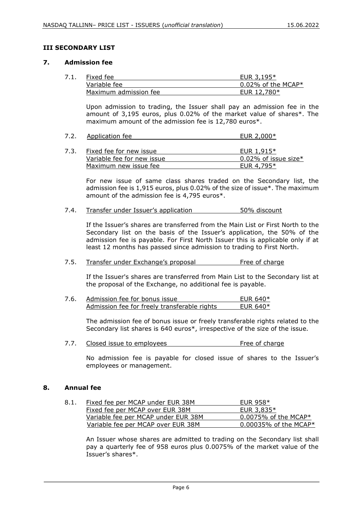# <span id="page-6-0"></span>**III SECONDARY LIST**

#### <span id="page-6-1"></span>**7. Admission fee**

| Fixed fee             | EUR $3.195*$          |
|-----------------------|-----------------------|
| Variable fee          | $0.02\%$ of the MCAP* |
| Maximum admission fee | EUR 12,780*           |

Upon admission to trading, the Issuer shall pay an admission fee in the amount of 3,195 euros, plus 0.02% of the market value of shares\*. The maximum amount of the admission fee is 12,780 euros\*.

| 7.2. | Application fee | EUR 2,000* |
|------|-----------------|------------|
|      |                 |            |

| 7.3. | Fixed fee for new issue    | EUR 1,915*              |
|------|----------------------------|-------------------------|
|      | Variable fee for new issue | $0.02\%$ of issue size* |
|      | Maximum new issue fee      | EUR 4.795 $*$           |

For new issue of same class shares traded on the Secondary list, the admission fee is 1,915 euros, plus 0.02% of the size of issue\*. The maximum amount of the admission fee is 4,795 euros\*.

7.4. Transfer under Issuer's application 50% discount

If the Issuer's shares are transferred from the Main List or First North to the Secondary list on the basis of the Issuer's application, the 50% of the admission fee is payable. For First North Issuer this is applicable only if at least 12 months has passed since admission to trading to First North.

# 7.5. Transfer under Exchange's proposal Free of charge

If the Issuer's shares are transferred from Main List to the Secondary list at the proposal of the Exchange, no additional fee is payable.

7.6. Admission fee for bonus issue EUR 640\* Admission fee for freely transferable rights  $EUR 640*$ 

> The admission fee of bonus issue or freely transferable rights related to the Secondary list shares is 640 euros\*, irrespective of the size of the issue.

7.7. Closed issue to employees The Contract Charge of charge

No admission fee is payable for closed issue of shares to the Issuer's employees or management.

# <span id="page-6-2"></span>**8. Annual fee**

| 8.1. | Fixed fee per MCAP under EUR 38M    | EUR 958 $*$              |
|------|-------------------------------------|--------------------------|
|      | Fixed fee per MCAP over EUR 38M     | EUR $3.835*$             |
|      | Variable fee per MCAP under EUR 38M | $0.0075\%$ of the MCAP*  |
|      | Variable fee per MCAP over EUR 38M  | $0.00035\%$ of the MCAP* |

An Issuer whose shares are admitted to trading on the Secondary list shall pay a quarterly fee of 958 euros plus 0.0075% of the market value of the Issuer's shares\*.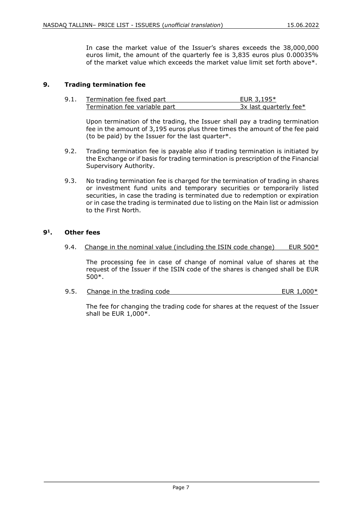In case the market value of the Issuer's shares exceeds the 38,000,000 euros limit, the amount of the quarterly fee is 3,835 euros plus 0.00035% of the market value which exceeds the market value limit set forth above\*.

# <span id="page-7-0"></span>**9. Trading termination fee**

| 9.1. | Termination fee fixed part    | EUR $3.195*$             |
|------|-------------------------------|--------------------------|
|      | Termination fee variable part | $3x$ last quarterly fee* |

Upon termination of the trading, the Issuer shall pay a trading termination fee in the amount of 3,195 euros plus three times the amount of the fee paid (to be paid) by the Issuer for the last quarter\*.

- 9.2. Trading termination fee is payable also if trading termination is initiated by the Exchange or if basis for trading termination is prescription of the Financial Supervisory Authority.
- 9.3. No trading termination fee is charged for the termination of trading in shares or investment fund units and temporary securities or temporarily listed securities, in case the trading is terminated due to redemption or expiration or in case the trading is terminated due to listing on the Main list or admission to the First North.

#### <span id="page-7-1"></span>**9<sup>1</sup> . Other fees**

9.4. Change in the nominal value (including the ISIN code change) EUR  $500*$ 

The processing fee in case of change of nominal value of shares at the request of the Issuer if the ISIN code of the shares is changed shall be EUR 500\*.

9.5. Change in the trading code  $\blacksquare$  EUR 1,000\*

The fee for changing the trading code for shares at the request of the Issuer shall be EUR 1,000\*.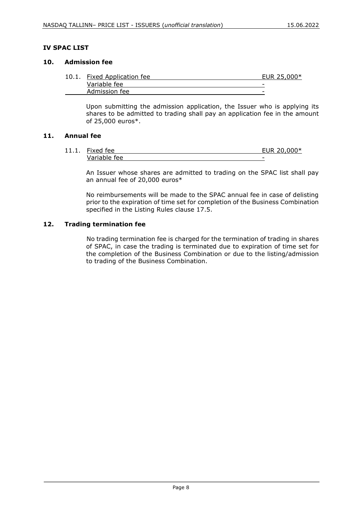# <span id="page-8-0"></span>**IV SPAC LIST**

# <span id="page-8-1"></span>**10. Admission fee**

| 10.1. | <b>Fixed Application fee</b> | EUR 25,000* |
|-------|------------------------------|-------------|
|       | Variable fee                 | -           |
|       | Admission fee                | -           |

Upon submitting the admission application, the Issuer who is applying its shares to be admitted to trading shall pay an application fee in the amount of 25,000 euros\*.

#### <span id="page-8-2"></span>**11. Annual fee**

11.1. Fixed fee **EUR 20,000\*** Variable fee

An Issuer whose shares are admitted to trading on the SPAC list shall pay an annual fee of 20,000 euros\*

No reimbursements will be made to the SPAC annual fee in case of delisting prior to the expiration of time set for completion of the Business Combination specified in the Listing Rules clause 17.5.

# <span id="page-8-3"></span>**12. Trading termination fee**

No trading termination fee is charged for the termination of trading in shares of SPAC, in case the trading is terminated due to expiration of time set for the completion of the Business Combination or due to the listing/admission to trading of the Business Combination.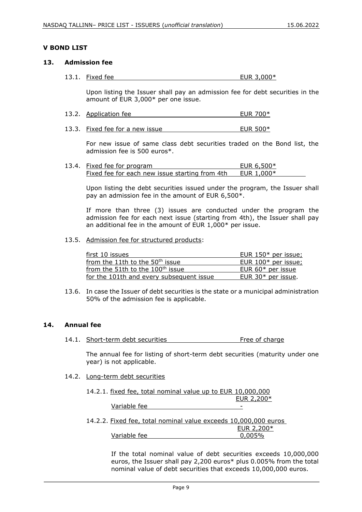# <span id="page-9-0"></span>**V BOND LIST**

#### <span id="page-9-1"></span>**13. Admission fee**

13.1. Fixed fee EUR 3,000\*

Upon listing the Issuer shall pay an admission fee for debt securities in the amount of EUR 3,000\* per one issue.

- 13.2. Application fee EUR 700\*
- 13.3. Fixed fee for a new issue EUR 500\*

For new issue of same class debt securities traded on the Bond list, the admission fee is 500 euros\*.

| 13.4. Fixed fee for program                    | EUR $6,500*$ |  |
|------------------------------------------------|--------------|--|
| Fixed fee for each new issue starting from 4th | EUR 1.000*   |  |

Upon listing the debt securities issued under the program, the Issuer shall pay an admission fee in the amount of EUR 6,500\*.

If more than three (3) issues are conducted under the program the admission fee for each next issue (starting from 4th), the Issuer shall pay an additional fee in the amount of EUR 1,000\* per issue.

13.5. Admission fee for structured products:

| first 10 issues                              | EUR 150* per issue;  |
|----------------------------------------------|----------------------|
| from the 11th to the 50 <sup>th</sup> issue  | EUR 100* per issue;  |
| from the 51th to the 100 <sup>th</sup> issue | EUR 60* per issue    |
| for the 101th and every subsequent issue     | EUR $30*$ per issue. |

13.6. In case the Issuer of debt securities is the state or a municipal administration 50% of the admission fee is applicable.

# <span id="page-9-2"></span>**14. Annual fee**

14.1. Short-term debt securities Free of charge

The annual fee for listing of short-term debt securities (maturity under one year) is not applicable.

14.2. Long-term debt securities

| 14.2.1. fixed fee, total nominal value up to EUR 10,000,000 |  |  |  |  |            |
|-------------------------------------------------------------|--|--|--|--|------------|
|                                                             |  |  |  |  | EUR 2,200* |
|                                                             |  |  |  |  |            |

Variable fee -

14.2.2. Fixed fee, total nominal value exceeds 10,000,000 euros

|              | EUR $2,200*$ |
|--------------|--------------|
| Variable fee | $0,005\%$    |

If the total nominal value of debt securities exceeds 10,000,000 euros, the Issuer shall pay 2,200 euros\* plus 0.005% from the total nominal value of debt securities that exceeds 10,000,000 euros.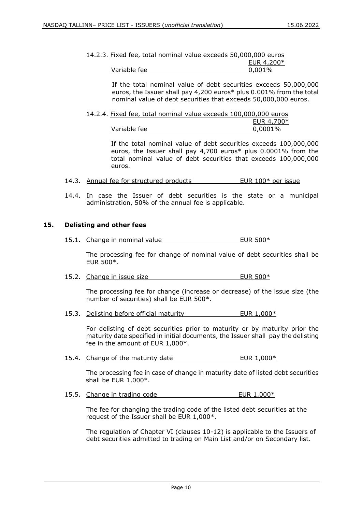| 14.2.3. Fixed fee, total nominal value exceeds 50,000,000 euros |            |
|-----------------------------------------------------------------|------------|
|                                                                 | EUR 4,200* |
| Variable fee                                                    | $0.001\%$  |

If the total nominal value of debt securities exceeds 50,000,000 euros, the Issuer shall pay 4,200 euros\* plus 0.001% from the total nominal value of debt securities that exceeds 50,000,000 euros.

| 14.2.4. Fixed fee, total nominal value exceeds 100,000,000 euros |  |  |         |               |
|------------------------------------------------------------------|--|--|---------|---------------|
|                                                                  |  |  |         | EUR 4,700 $*$ |
| Variable fee                                                     |  |  | 0,0001% |               |

If the total nominal value of debt securities exceeds 100,000,000 euros, the Issuer shall pay 4,700 euros\* plus 0.0001% from the total nominal value of debt securities that exceeds 100,000,000 euros.

- 14.3. Annual fee for structured products EUR 100\* per issue
- 14.4. In case the Issuer of debt securities is the state or a municipal administration, 50% of the annual fee is applicable.

# <span id="page-10-0"></span>**15. Delisting and other fees**

15.1. Change in nominal value EUR 500\*

The processing fee for change of nominal value of debt securities shall be EUR 500\*.

15.2. Change in issue size EUR 500\*

The processing fee for change (increase or decrease) of the issue size (the number of securities) shall be EUR 500\*.

15.3. Delisting before official maturity EUR 1,000\*

For delisting of debt securities prior to maturity or by maturity prior the maturity date specified in initial documents, the Issuer shall pay the delisting fee in the amount of EUR 1,000\*.

15.4. Change of the maturity date The maturity of the EUR 1,000\*

The processing fee in case of change in maturity date of listed debt securities shall be EUR 1,000\*.

15.5. Change in trading code EUR 1,000\*

The fee for changing the trading code of the listed debt securities at the request of the Issuer shall be EUR 1,000\*.

The regulation of Chapter VI (clauses 10-12) is applicable to the Issuers of debt securities admitted to trading on Main List and/or on Secondary list.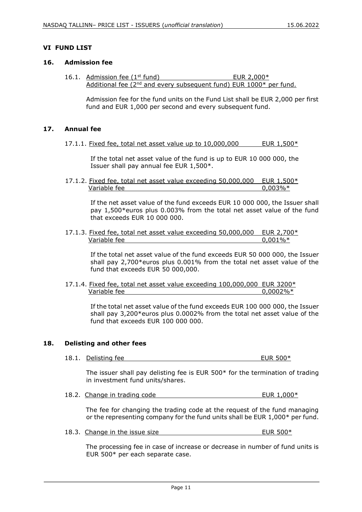# <span id="page-11-0"></span>**VI FUND LIST**

#### <span id="page-11-1"></span>**16. Admission fee**

16.1. Admission fee  $(1<sup>st</sup>$  fund)  $EUR 2.000*$ Additional fee  $(2^{nd}$  and every subsequent fund) EUR 1000 $*$  per fund.

Admission fee for the fund units on the Fund List shall be EUR 2,000 per first fund and EUR 1,000 per second and every subsequent fund.

# <span id="page-11-2"></span>**17. Annual fee**

17.1.1. Fixed fee, total net asset value up to  $10,000,000$  EUR  $1,500*$ 

If the total net asset value of the fund is up to EUR 10 000 000, the Issuer shall pay annual fee EUR 1,500\*.

17.1.2. Fixed fee, total net asset value exceeding 50,000,000 EUR 1,500\* Variable fee  $0.003\%*$ 

> If the net asset value of the fund exceeds EUR 10 000 000, the Issuer shall pay 1,500\*euros plus 0.003% from the total net asset value of the fund that exceeds EUR 10 000 000.

17.1.3. Fixed fee, total net asset value exceeding 50,000,000 EUR 2,700\* Variable fee  $0.001\%*$ 

> If the total net asset value of the fund exceeds EUR 50 000 000, the Issuer shall pay 2,700\*euros plus 0.001% from the total net asset value of the fund that exceeds EUR 50 000,000.

17.1.4. Fixed fee, total net asset value exceeding 100,000,000 EUR 3200\* Variable fee  $0.0002\%*$ 

> If the total net asset value of the fund exceeds EUR 100 000 000, the Issuer shall pay 3,200\*euros plus 0.0002% from the total net asset value of the fund that exceeds EUR 100 000 000.

# <span id="page-11-3"></span>**18. Delisting and other fees**

18.1. Delisting fee EUR 500\*

The issuer shall pay delisting fee is EUR 500\* for the termination of trading in investment fund units/shares.

18.2. Change in trading code EUR 1,000\*

 The fee for changing the trading code at the request of the fund managing or the representing company for the fund units shall be EUR 1,000\* per fund.

18.3. Change in the issue size EUR 500\*

 The processing fee in case of increase or decrease in number of fund units is EUR 500\* per each separate case.